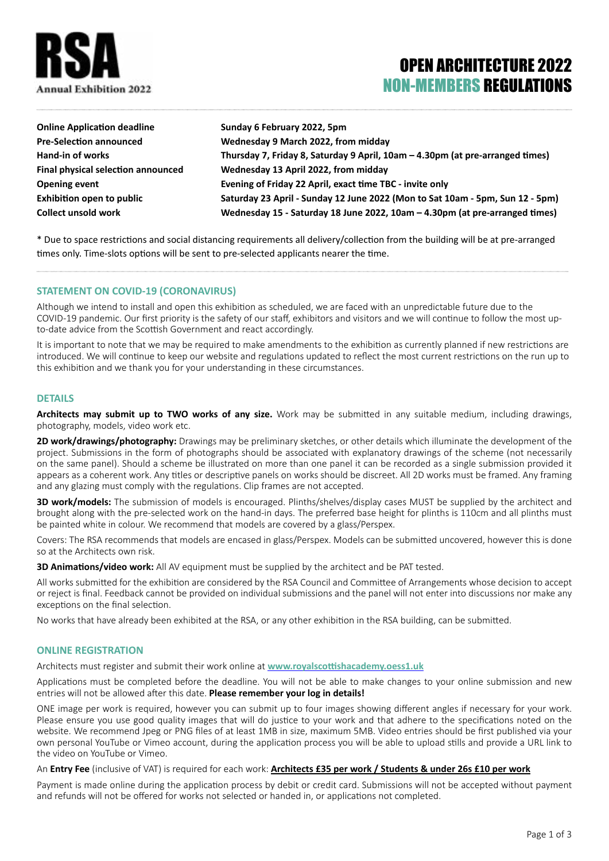

# OPEN ARCHITECTURE 2022 NON-MEMBERS REGULATIONS

| <b>Online Application deadline</b> | Sunday 6 February 2022, 5pm                                                   |
|------------------------------------|-------------------------------------------------------------------------------|
| <b>Pre-Selection announced</b>     | Wednesday 9 March 2022, from midday                                           |
| Hand-in of works                   | Thursday 7, Friday 8, Saturday 9 April, 10am - 4.30pm (at pre-arranged times) |
| Final physical selection announced | Wednesday 13 April 2022, from midday                                          |
| <b>Opening event</b>               | Evening of Friday 22 April, exact time TBC - invite only                      |
| <b>Exhibition open to public</b>   | Saturday 23 April - Sunday 12 June 2022 (Mon to Sat 10am - 5pm, Sun 12 - 5pm) |
| <b>Collect unsold work</b>         | Wednesday 15 - Saturday 18 June 2022, 10am - 4.30pm (at pre-arranged times)   |

\* Due to space restrictions and social distancing requirements all delivery/collection from the building will be at pre-arranged times only. Time-slots options will be sent to pre-selected applicants nearer the time.

## **STATEMENT ON COVID-19 (CORONAVIRUS)**

Although we intend to install and open this exhibition as scheduled, we are faced with an unpredictable future due to the COVID-19 pandemic. Our first priority is the safety of our staff, exhibitors and visitors and we will continue to follow the most upto-date advice from the Scottish Government and react accordingly.

It is important to note that we may be required to make amendments to the exhibition as currently planned if new restrictions are introduced. We will continue to keep our website and regulations updated to reflect the most current restrictions on the run up to this exhibition and we thank you for your understanding in these circumstances.

#### **DETAILS**

**Architects may submit up to TWO works of any size.** Work may be submitted in any suitable medium, including drawings, photography, models, video work etc.

**2D work/drawings/photography:** Drawings may be preliminary sketches, or other details which illuminate the development of the project. Submissions in the form of photographs should be associated with explanatory drawings of the scheme (not necessarily on the same panel). Should a scheme be illustrated on more than one panel it can be recorded as a single submission provided it appears as a coherent work. Any titles or descriptive panels on works should be discreet. All 2D works must be framed. Any framing and any glazing must comply with the regulations. Clip frames are not accepted.

**3D work/models:** The submission of models is encouraged. Plinths/shelves/display cases MUST be supplied by the architect and brought along with the pre-selected work on the hand-in days. The preferred base height for plinths is 110cm and all plinths must be painted white in colour. We recommend that models are covered by a glass/Perspex.

Covers: The RSA recommends that models are encased in glass/Perspex. Models can be submitted uncovered, however this is done so at the Architects own risk.

**3D Animations/video work:** All AV equipment must be supplied by the architect and be PAT tested.

All works submitted for the exhibition are considered by the RSA Council and Committee of Arrangements whose decision to accept or reject is final. Feedback cannot be provided on individual submissions and the panel will not enter into discussions nor make any exceptions on the final selection.

No works that have already been exhibited at the RSA, or any other exhibition in the RSA building, can be submitted.

## **ONLINE REGISTRATION**

Architects must register and submit their work online at **[www.royalscottishacademy.oess1.uk](http://www.royalscottishacademy.oess1.uk)**

Applications must be completed before the deadline. You will not be able to make changes to your online submission and new entries will not be allowed after this date. **Please remember your log in details!**

ONE image per work is required, however you can submit up to four images showing different angles if necessary for your work. Please ensure you use good quality images that will do justice to your work and that adhere to the specifications noted on the website. We recommend Jpeg or PNG files of at least 1MB in size, maximum 5MB. Video entries should be first published via your own personal YouTube or Vimeo account, during the application process you will be able to upload stills and provide a URL link to the video on YouTube or Vimeo.

An **Entry Fee** (inclusive of VAT) is required for each work: **Architects £35 per work / Students & under 26s £10 per work**

Payment is made online during the application process by debit or credit card. Submissions will not be accepted without payment and refunds will not be offered for works not selected or handed in, or applications not completed.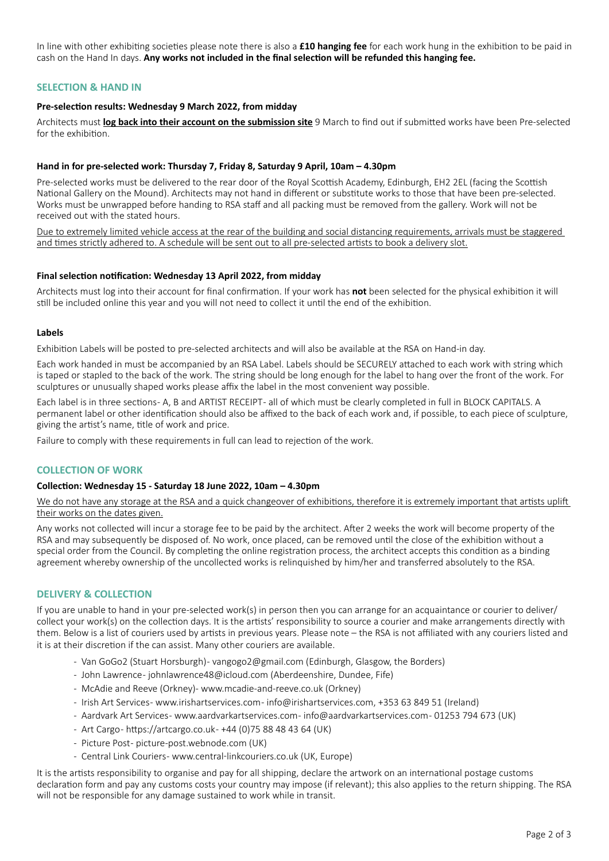In line with other exhibiting societies please note there is also a **£10 hanging fee** for each work hung in the exhibition to be paid in cash on the Hand In days. **Any works not included in the final selection will be refunded this hanging fee.**

## **SELECTION & HAND IN**

# **Pre-selection results: Wednesday 9 March 2022, from midday**

Architects must **log back into their account on the submission site** 9 March to find out if submitted works have been Pre-selected for the exhibition

#### **Hand in for pre-selected work: Thursday 7, Friday 8, Saturday 9 April, 10am – 4.30pm**

Pre-selected works must be delivered to the rear door of the Royal Scottish Academy, Edinburgh, EH2 2EL (facing the Scottish National Gallery on the Mound). Architects may not hand in different or substitute works to those that have been pre-selected. Works must be unwrapped before handing to RSA staff and all packing must be removed from the gallery. Work will not be received out with the stated hours.

Due to extremely limited vehicle access at the rear of the building and social distancing requirements, arrivals must be staggered and times strictly adhered to. A schedule will be sent out to all pre-selected artists to book a delivery slot.

#### **Final selection notification: Wednesday 13 April 2022, from midday**

Architects must log into their account for final confirmation. If your work has **not** been selected for the physical exhibition it will still be included online this year and you will not need to collect it until the end of the exhibition.

#### **Labels**

Exhibition Labels will be posted to pre-selected architects and will also be available at the RSA on Hand-in day.

Each work handed in must be accompanied by an RSA Label. Labels should be SECURELY attached to each work with string which is taped or stapled to the back of the work. The string should be long enough for the label to hang over the front of the work. For sculptures or unusually shaped works please affix the label in the most convenient way possible.

Each label is in three sections - A, B and ARTIST RECEIPT - all of which must be clearly completed in full in BLOCK CAPITALS. A permanent label or other identification should also be affixed to the back of each work and, if possible, to each piece of sculpture, giving the artist's name, title of work and price.

Failure to comply with these requirements in full can lead to rejection of the work.

## **COLLECTION OF WORK**

## **Collection: Wednesday 15 - Saturday 18 June 2022, 10am – 4.30pm**

We do not have any storage at the RSA and a quick changeover of exhibitions, therefore it is extremely important that artists uplift their works on the dates given.

Any works not collected will incur a storage fee to be paid by the architect. After 2 weeks the work will become property of the RSA and may subsequently be disposed of. No work, once placed, can be removed until the close of the exhibition without a special order from the Council. By completing the online registration process, the architect accepts this condition as a binding agreement whereby ownership of the uncollected works is relinquished by him/her and transferred absolutely to the RSA.

## **DELIVERY & COLLECTION**

If you are unable to hand in your pre-selected work(s) in person then you can arrange for an acquaintance or courier to deliver/ collect your work(s) on the collection days. It is the artists' responsibility to source a courier and make arrangements directly with them. Below is a list of couriers used by artists in previous years. Please note – the RSA is not affiliated with any couriers listed and it is at their discretion if the can assist. Many other couriers are available.

- Van GoGo2 (Stuart Horsburgh) vangogo2@gmail.com (Edinburgh, Glasgow, the Borders)
- John Lawrence johnlawrence48@icloud.com (Aberdeenshire, Dundee, Fife)
- McAdie and Reeve (Orkney)- www.mcadie-and-reeve.co.uk (Orkney)
- Irish Art Services www.irishartservices.com info@irishartservices.com, +353 63 849 51 (Ireland)
- Aardvark Art Services- www.aardvarkartservices.com- info@aardvarkartservices.com- 01253 794 673 (UK)
- Art Cargo- https://artcargo.co.uk- +44 (0)75 88 48 43 64 (UK)
- Picture Post- picture-post.webnode.com (UK)
- Central Link Couriers www.central-linkcouriers.co.uk (UK, Europe)

It is the artists responsibility to organise and pay for all shipping, declare the artwork on an international postage customs declaration form and pay any customs costs your country may impose (if relevant); this also applies to the return shipping. The RSA will not be responsible for any damage sustained to work while in transit.